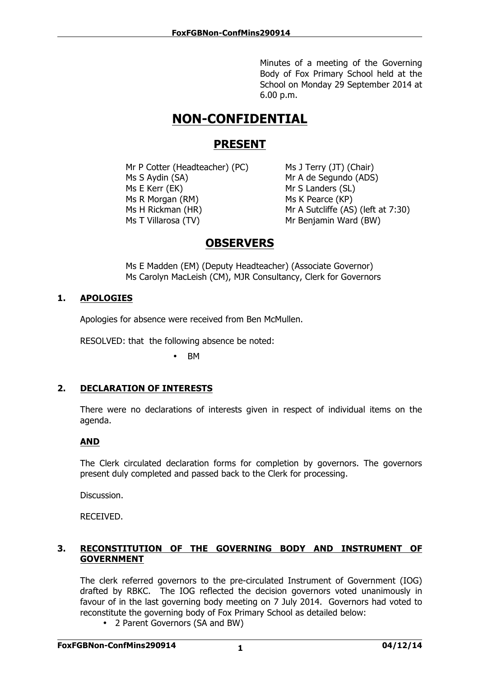Minutes of a meeting of the Governing Body of Fox Primary School held at the School on Monday 29 September 2014 at 6.00 p.m.

# **NON-CONFIDENTIAL**

## **PRESENT**

Mr P Cotter (Headteacher) (PC) Ms J Terry (JT) (Chair) Ms S Aydin (SA) Mr A de Segundo (ADS) Ms E Kerr (EK) Mr S Landers (SL) Ms R Morgan (RM) Ms K Pearce (KP) Ms H Rickman (HR) Mr A Sutcliffe (AS) (left at 7:30) Ms T Villarosa (TV) Mr Benjamin Ward (BW)

# **OBSERVERS**

Ms E Madden (EM) (Deputy Headteacher) (Associate Governor) Ms Carolyn MacLeish (CM), MJR Consultancy, Clerk for Governors

### **1. APOLOGIES**

Apologies for absence were received from Ben McMullen.

RESOLVED: that the following absence be noted:

• BM

## **2. DECLARATION OF INTERESTS**

There were no declarations of interests given in respect of individual items on the agenda.

#### **AND**

The Clerk circulated declaration forms for completion by governors. The governors present duly completed and passed back to the Clerk for processing.

Discussion.

RECEIVED.

#### **3. RECONSTITUTION OF THE GOVERNING BODY AND INSTRUMENT OF GOVERNMENT**

The clerk referred governors to the pre-circulated Instrument of Government (IOG) drafted by RBKC. The IOG reflected the decision governors voted unanimously in favour of in the last governing body meeting on 7 July 2014. Governors had voted to reconstitute the governing body of Fox Primary School as detailed below:

• 2 Parent Governors (SA and BW)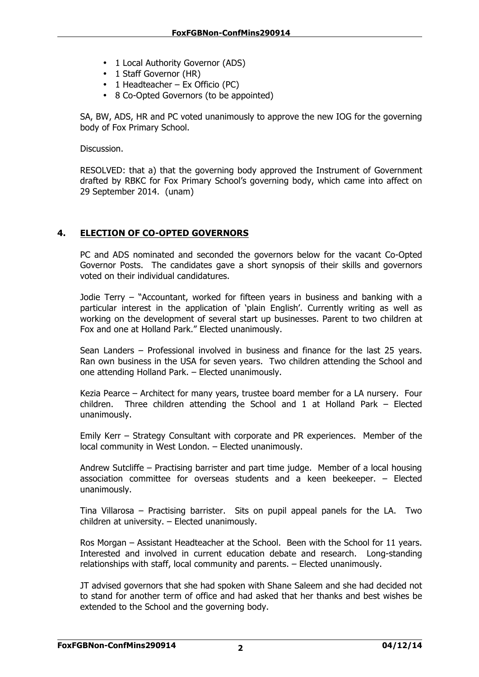- 1 Local Authority Governor (ADS)
- 1 Staff Governor (HR)
- 1 Headteacher Ex Officio (PC)
- 8 Co-Opted Governors (to be appointed)

SA, BW, ADS, HR and PC voted unanimously to approve the new IOG for the governing body of Fox Primary School.

Discussion.

RESOLVED: that a) that the governing body approved the Instrument of Government drafted by RBKC for Fox Primary School's governing body, which came into affect on 29 September 2014. (unam)

#### **4. ELECTION OF CO-OPTED GOVERNORS**

PC and ADS nominated and seconded the governors below for the vacant Co-Opted Governor Posts. The candidates gave a short synopsis of their skills and governors voted on their individual candidatures.

Jodie Terry – "Accountant, worked for fifteen years in business and banking with a particular interest in the application of 'plain English'. Currently writing as well as working on the development of several start up businesses. Parent to two children at Fox and one at Holland Park." Elected unanimously.

Sean Landers – Professional involved in business and finance for the last 25 years. Ran own business in the USA for seven years. Two children attending the School and one attending Holland Park. – Elected unanimously.

Kezia Pearce – Architect for many years, trustee board member for a LA nursery. Four children. Three children attending the School and 1 at Holland Park – Elected unanimously.

Emily Kerr – Strategy Consultant with corporate and PR experiences. Member of the local community in West London. – Elected unanimously.

Andrew Sutcliffe – Practising barrister and part time judge. Member of a local housing association committee for overseas students and a keen beekeeper. – Elected unanimously.

Tina Villarosa – Practising barrister. Sits on pupil appeal panels for the LA. Two children at university. – Elected unanimously.

Ros Morgan – Assistant Headteacher at the School. Been with the School for 11 years. Interested and involved in current education debate and research. Long-standing relationships with staff, local community and parents. – Elected unanimously.

JT advised governors that she had spoken with Shane Saleem and she had decided not to stand for another term of office and had asked that her thanks and best wishes be extended to the School and the governing body.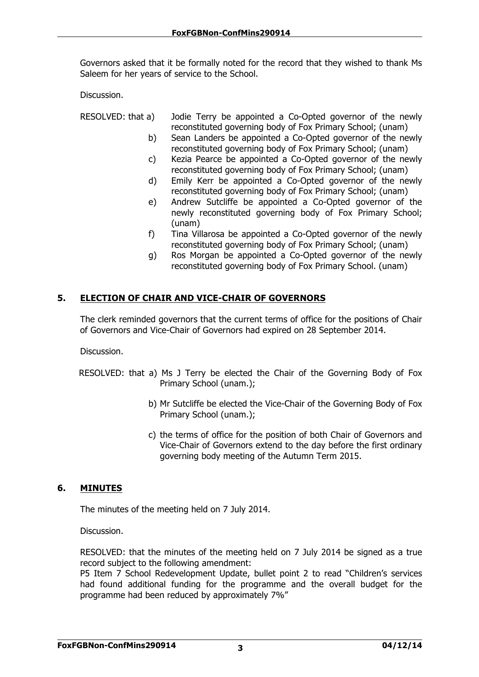Governors asked that it be formally noted for the record that they wished to thank Ms Saleem for her years of service to the School.

Discussion.

RESOLVED: that a) Jodie Terry be appointed a Co-Opted governor of the newly reconstituted governing body of Fox Primary School; (unam)

- b) Sean Landers be appointed a Co-Opted governor of the newly reconstituted governing body of Fox Primary School; (unam)
- c) Kezia Pearce be appointed a Co-Opted governor of the newly reconstituted governing body of Fox Primary School; (unam)
- d) Emily Kerr be appointed a Co-Opted governor of the newly reconstituted governing body of Fox Primary School; (unam)
- e) Andrew Sutcliffe be appointed a Co-Opted governor of the newly reconstituted governing body of Fox Primary School; (unam)
- f) Tina Villarosa be appointed a Co-Opted governor of the newly reconstituted governing body of Fox Primary School; (unam)
- g) Ros Morgan be appointed a Co-Opted governor of the newly reconstituted governing body of Fox Primary School. (unam)

#### **5. ELECTION OF CHAIR AND VICE-CHAIR OF GOVERNORS**

The clerk reminded governors that the current terms of office for the positions of Chair of Governors and Vice-Chair of Governors had expired on 28 September 2014.

Discussion.

- RESOLVED: that a) Ms J Terry be elected the Chair of the Governing Body of Fox Primary School (unam.);
	- b) Mr Sutcliffe be elected the Vice-Chair of the Governing Body of Fox Primary School (unam.);
	- c) the terms of office for the position of both Chair of Governors and Vice-Chair of Governors extend to the day before the first ordinary governing body meeting of the Autumn Term 2015.

#### **6. MINUTES**

The minutes of the meeting held on 7 July 2014.

Discussion.

RESOLVED: that the minutes of the meeting held on 7 July 2014 be signed as a true record subject to the following amendment:

P5 Item 7 School Redevelopment Update, bullet point 2 to read "Children's services had found additional funding for the programme and the overall budget for the programme had been reduced by approximately 7%"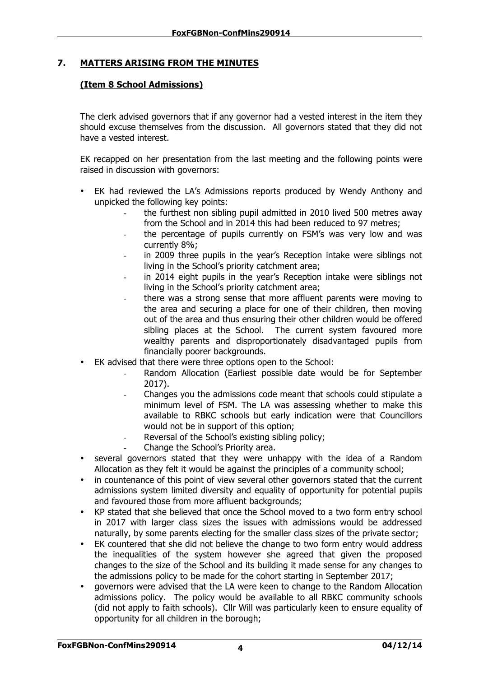#### **7. MATTERS ARISING FROM THE MINUTES**

#### **(Item 8 School Admissions)**

The clerk advised governors that if any governor had a vested interest in the item they should excuse themselves from the discussion. All governors stated that they did not have a vested interest.

EK recapped on her presentation from the last meeting and the following points were raised in discussion with governors:

- EK had reviewed the LA's Admissions reports produced by Wendy Anthony and unpicked the following key points:
	- the furthest non sibling pupil admitted in 2010 lived 500 metres away from the School and in 2014 this had been reduced to 97 metres;
	- the percentage of pupils currently on FSM's was very low and was currently 8%;
	- in 2009 three pupils in the year's Reception intake were siblings not living in the School's priority catchment area;
	- in 2014 eight pupils in the year's Reception intake were siblings not living in the School's priority catchment area;
	- there was a strong sense that more affluent parents were moving to the area and securing a place for one of their children, then moving out of the area and thus ensuring their other children would be offered sibling places at the School. The current system favoured more wealthy parents and disproportionately disadvantaged pupils from financially poorer backgrounds.
- EK advised that there were three options open to the School:
	- Random Allocation (Earliest possible date would be for September 2017).
	- Changes you the admissions code meant that schools could stipulate a minimum level of FSM. The LA was assessing whether to make this available to RBKC schools but early indication were that Councillors would not be in support of this option;
	- Reversal of the School's existing sibling policy;
	- Change the School's Priority area.
- several governors stated that they were unhappy with the idea of a Random Allocation as they felt it would be against the principles of a community school;
- in countenance of this point of view several other governors stated that the current admissions system limited diversity and equality of opportunity for potential pupils and favoured those from more affluent backgrounds;
- KP stated that she believed that once the School moved to a two form entry school in 2017 with larger class sizes the issues with admissions would be addressed naturally, by some parents electing for the smaller class sizes of the private sector;
- EK countered that she did not believe the change to two form entry would address the inequalities of the system however she agreed that given the proposed changes to the size of the School and its building it made sense for any changes to the admissions policy to be made for the cohort starting in September 2017;
- governors were advised that the LA were keen to change to the Random Allocation admissions policy. The policy would be available to all RBKC community schools (did not apply to faith schools). Cllr Will was particularly keen to ensure equality of opportunity for all children in the borough;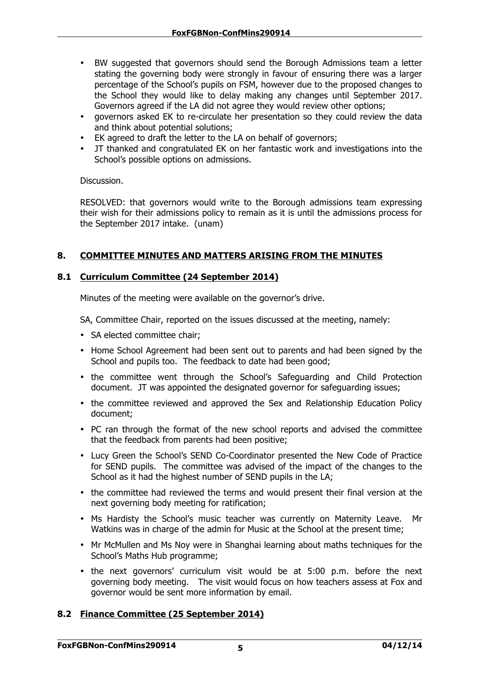- BW suggested that governors should send the Borough Admissions team a letter stating the governing body were strongly in favour of ensuring there was a larger percentage of the School's pupils on FSM, however due to the proposed changes to the School they would like to delay making any changes until September 2017. Governors agreed if the LA did not agree they would review other options;
- governors asked EK to re-circulate her presentation so they could review the data and think about potential solutions;
- EK agreed to draft the letter to the LA on behalf of governors;
- JT thanked and congratulated EK on her fantastic work and investigations into the School's possible options on admissions.

Discussion.

RESOLVED: that governors would write to the Borough admissions team expressing their wish for their admissions policy to remain as it is until the admissions process for the September 2017 intake. (unam)

#### **8. COMMITTEE MINUTES AND MATTERS ARISING FROM THE MINUTES**

#### **8.1 Curriculum Committee (24 September 2014)**

Minutes of the meeting were available on the governor's drive.

SA, Committee Chair, reported on the issues discussed at the meeting, namely:

- SA elected committee chair;
- Home School Agreement had been sent out to parents and had been signed by the School and pupils too. The feedback to date had been good;
- the committee went through the School's Safeguarding and Child Protection document. JT was appointed the designated governor for safeguarding issues;
- the committee reviewed and approved the Sex and Relationship Education Policy document;
- PC ran through the format of the new school reports and advised the committee that the feedback from parents had been positive;
- Lucy Green the School's SEND Co-Coordinator presented the New Code of Practice for SEND pupils. The committee was advised of the impact of the changes to the School as it had the highest number of SEND pupils in the LA;
- the committee had reviewed the terms and would present their final version at the next governing body meeting for ratification;
- Ms Hardisty the School's music teacher was currently on Maternity Leave. Mr Watkins was in charge of the admin for Music at the School at the present time;
- Mr McMullen and Ms Noy were in Shanghai learning about maths techniques for the School's Maths Hub programme;
- the next governors' curriculum visit would be at 5:00 p.m. before the next governing body meeting. The visit would focus on how teachers assess at Fox and governor would be sent more information by email.

#### **8.2 Finance Committee (25 September 2014)**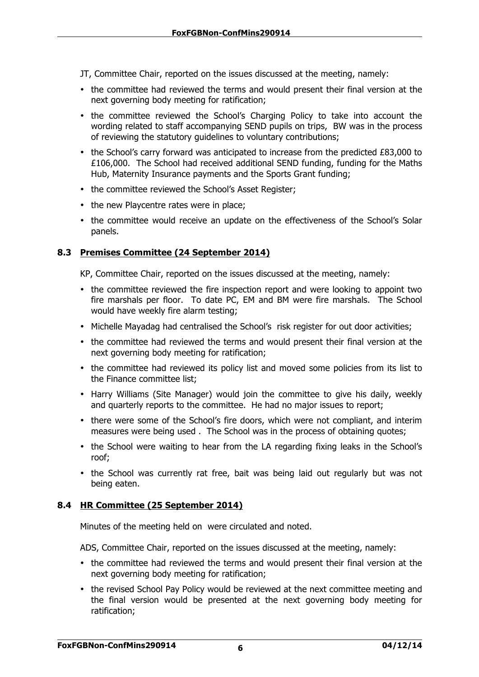JT, Committee Chair, reported on the issues discussed at the meeting, namely:

- the committee had reviewed the terms and would present their final version at the next governing body meeting for ratification;
- the committee reviewed the School's Charging Policy to take into account the wording related to staff accompanying SEND pupils on trips, BW was in the process of reviewing the statutory guidelines to voluntary contributions;
- the School's carry forward was anticipated to increase from the predicted £83,000 to £106,000. The School had received additional SEND funding, funding for the Maths Hub, Maternity Insurance payments and the Sports Grant funding;
- the committee reviewed the School's Asset Register;
- the new Playcentre rates were in place;
- the committee would receive an update on the effectiveness of the School's Solar panels.

#### **8.3 Premises Committee (24 September 2014)**

KP, Committee Chair, reported on the issues discussed at the meeting, namely:

- the committee reviewed the fire inspection report and were looking to appoint two fire marshals per floor. To date PC, EM and BM were fire marshals. The School would have weekly fire alarm testing;
- Michelle Mayadag had centralised the School's risk register for out door activities;
- the committee had reviewed the terms and would present their final version at the next governing body meeting for ratification;
- the committee had reviewed its policy list and moved some policies from its list to the Finance committee list;
- Harry Williams (Site Manager) would join the committee to give his daily, weekly and quarterly reports to the committee. He had no major issues to report;
- there were some of the School's fire doors, which were not compliant, and interim measures were being used . The School was in the process of obtaining quotes;
- the School were waiting to hear from the LA regarding fixing leaks in the School's roof;
- the School was currently rat free, bait was being laid out regularly but was not being eaten.

#### **8.4 HR Committee (25 September 2014)**

Minutes of the meeting held on were circulated and noted.

ADS, Committee Chair, reported on the issues discussed at the meeting, namely:

- the committee had reviewed the terms and would present their final version at the next governing body meeting for ratification;
- the revised School Pay Policy would be reviewed at the next committee meeting and the final version would be presented at the next governing body meeting for ratification;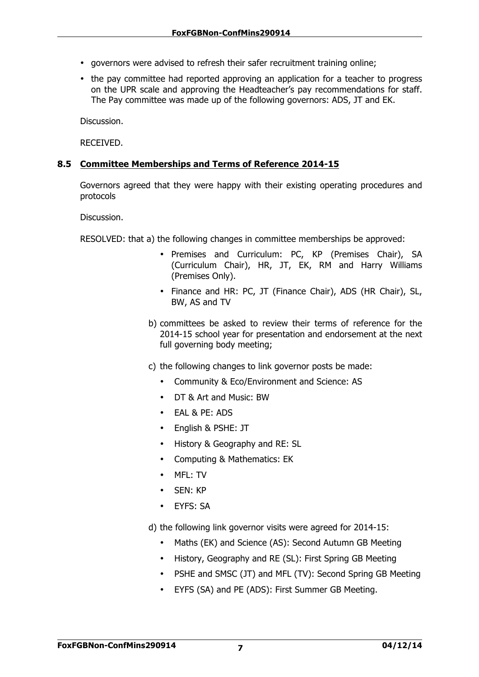- governors were advised to refresh their safer recruitment training online;
- the pay committee had reported approving an application for a teacher to progress on the UPR scale and approving the Headteacher's pay recommendations for staff. The Pay committee was made up of the following governors: ADS, JT and EK.

Discussion.

RECEIVED.

#### **8.5 Committee Memberships and Terms of Reference 2014-15**

Governors agreed that they were happy with their existing operating procedures and protocols

Discussion.

RESOLVED: that a) the following changes in committee memberships be approved:

- Premises and Curriculum: PC, KP (Premises Chair), SA (Curriculum Chair), HR, JT, EK, RM and Harry Williams (Premises Only).
- Finance and HR: PC, JT (Finance Chair), ADS (HR Chair), SL, BW, AS and TV
- b) committees be asked to review their terms of reference for the 2014-15 school year for presentation and endorsement at the next full governing body meeting;
- c) the following changes to link governor posts be made:
	- Community & Eco/Environment and Science: AS
	- DT & Art and Music: BW
	- EAL & PE: ADS
	- English & PSHE: JT
	- History & Geography and RE: SL
	- Computing & Mathematics: EK
	- MFL: TV
	- SEN: KP
	- EYFS: SA
- d) the following link governor visits were agreed for 2014-15:
	- Maths (EK) and Science (AS): Second Autumn GB Meeting
	- History, Geography and RE (SL): First Spring GB Meeting
	- PSHE and SMSC (JT) and MFL (TV): Second Spring GB Meeting
	- EYFS (SA) and PE (ADS): First Summer GB Meeting.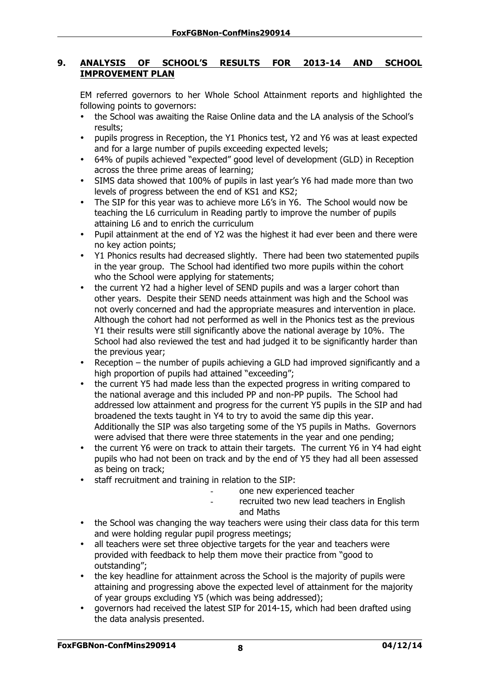#### **9. ANALYSIS OF SCHOOL'S RESULTS FOR 2013-14 AND SCHOOL IMPROVEMENT PLAN**

EM referred governors to her Whole School Attainment reports and highlighted the following points to governors:

- the School was awaiting the Raise Online data and the LA analysis of the School's results;
- pupils progress in Reception, the Y1 Phonics test, Y2 and Y6 was at least expected and for a large number of pupils exceeding expected levels;
- 64% of pupils achieved "expected" good level of development (GLD) in Reception across the three prime areas of learning;
- SIMS data showed that 100% of pupils in last year's Y6 had made more than two levels of progress between the end of KS1 and KS2;
- The SIP for this year was to achieve more L6's in Y6. The School would now be teaching the L6 curriculum in Reading partly to improve the number of pupils attaining L6 and to enrich the curriculum
- Pupil attainment at the end of Y2 was the highest it had ever been and there were no key action points;
- Y1 Phonics results had decreased slightly. There had been two statemented pupils in the year group. The School had identified two more pupils within the cohort who the School were applying for statements;
- the current Y2 had a higher level of SEND pupils and was a larger cohort than other years. Despite their SEND needs attainment was high and the School was not overly concerned and had the appropriate measures and intervention in place. Although the cohort had not performed as well in the Phonics test as the previous Y1 their results were still significantly above the national average by 10%. The School had also reviewed the test and had judged it to be significantly harder than the previous year;
- Reception the number of pupils achieving a GLD had improved significantly and a high proportion of pupils had attained "exceeding";
- the current Y5 had made less than the expected progress in writing compared to the national average and this included PP and non-PP pupils. The School had addressed low attainment and progress for the current Y5 pupils in the SIP and had broadened the texts taught in Y4 to try to avoid the same dip this year. Additionally the SIP was also targeting some of the Y5 pupils in Maths. Governors were advised that there were three statements in the year and one pending;
- the current Y6 were on track to attain their targets. The current Y6 in Y4 had eight pupils who had not been on track and by the end of Y5 they had all been assessed as being on track;
- staff recruitment and training in relation to the SIP:
	- one new experienced teacher
	- recruited two new lead teachers in English and Maths
- the School was changing the way teachers were using their class data for this term and were holding regular pupil progress meetings;
- all teachers were set three objective targets for the year and teachers were provided with feedback to help them move their practice from "good to outstanding";
- the key headline for attainment across the School is the majority of pupils were attaining and progressing above the expected level of attainment for the majority of year groups excluding Y5 (which was being addressed);
- governors had received the latest SIP for 2014-15, which had been drafted using the data analysis presented.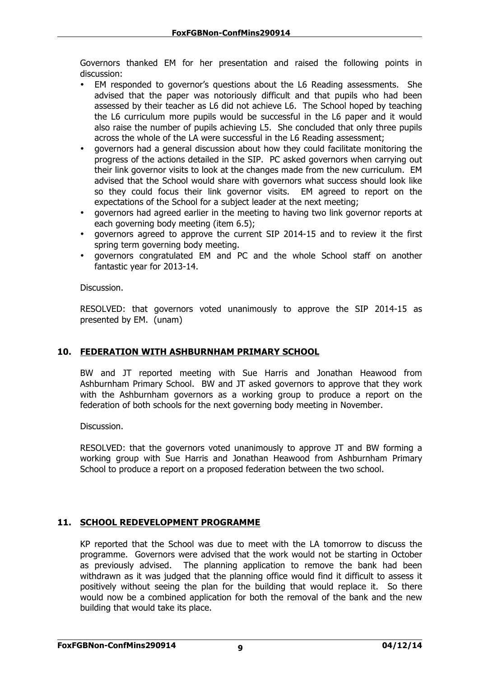Governors thanked EM for her presentation and raised the following points in discussion:

- EM responded to governor's questions about the L6 Reading assessments. She advised that the paper was notoriously difficult and that pupils who had been assessed by their teacher as L6 did not achieve L6. The School hoped by teaching the L6 curriculum more pupils would be successful in the L6 paper and it would also raise the number of pupils achieving L5. She concluded that only three pupils across the whole of the LA were successful in the L6 Reading assessment;
- governors had a general discussion about how they could facilitate monitoring the progress of the actions detailed in the SIP. PC asked governors when carrying out their link governor visits to look at the changes made from the new curriculum. EM advised that the School would share with governors what success should look like so they could focus their link governor visits. EM agreed to report on the expectations of the School for a subject leader at the next meeting;
- governors had agreed earlier in the meeting to having two link governor reports at each governing body meeting (item 6.5);
- governors agreed to approve the current SIP 2014-15 and to review it the first spring term governing body meeting.
- governors congratulated EM and PC and the whole School staff on another fantastic year for 2013-14.

Discussion.

RESOLVED: that governors voted unanimously to approve the SIP 2014-15 as presented by EM. (unam)

#### **10. FEDERATION WITH ASHBURNHAM PRIMARY SCHOOL**

BW and JT reported meeting with Sue Harris and Jonathan Heawood from Ashburnham Primary School. BW and JT asked governors to approve that they work with the Ashburnham governors as a working group to produce a report on the federation of both schools for the next governing body meeting in November.

Discussion.

RESOLVED: that the governors voted unanimously to approve JT and BW forming a working group with Sue Harris and Jonathan Heawood from Ashburnham Primary School to produce a report on a proposed federation between the two school.

#### **11. SCHOOL REDEVELOPMENT PROGRAMME**

KP reported that the School was due to meet with the LA tomorrow to discuss the programme. Governors were advised that the work would not be starting in October as previously advised. The planning application to remove the bank had been withdrawn as it was judged that the planning office would find it difficult to assess it positively without seeing the plan for the building that would replace it. So there would now be a combined application for both the removal of the bank and the new building that would take its place.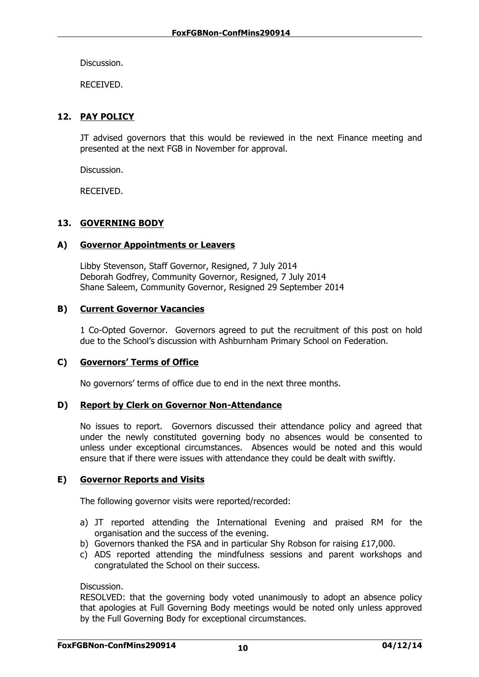Discussion.

RECEIVED.

#### **12. PAY POLICY**

JT advised governors that this would be reviewed in the next Finance meeting and presented at the next FGB in November for approval.

Discussion.

RECEIVED.

#### **13. GOVERNING BODY**

#### **A) Governor Appointments or Leavers**

Libby Stevenson, Staff Governor, Resigned, 7 July 2014 Deborah Godfrey, Community Governor, Resigned, 7 July 2014 Shane Saleem, Community Governor, Resigned 29 September 2014

#### **B) Current Governor Vacancies**

1 Co-Opted Governor. Governors agreed to put the recruitment of this post on hold due to the School's discussion with Ashburnham Primary School on Federation.

#### **C) Governors' Terms of Office**

No governors' terms of office due to end in the next three months.

#### **D) Report by Clerk on Governor Non-Attendance**

No issues to report. Governors discussed their attendance policy and agreed that under the newly constituted governing body no absences would be consented to unless under exceptional circumstances. Absences would be noted and this would ensure that if there were issues with attendance they could be dealt with swiftly.

#### **E) Governor Reports and Visits**

The following governor visits were reported/recorded:

- a) JT reported attending the International Evening and praised RM for the organisation and the success of the evening.
- b) Governors thanked the FSA and in particular Shy Robson for raising £17,000.
- c) ADS reported attending the mindfulness sessions and parent workshops and congratulated the School on their success.

Discussion.

RESOLVED: that the governing body voted unanimously to adopt an absence policy that apologies at Full Governing Body meetings would be noted only unless approved by the Full Governing Body for exceptional circumstances.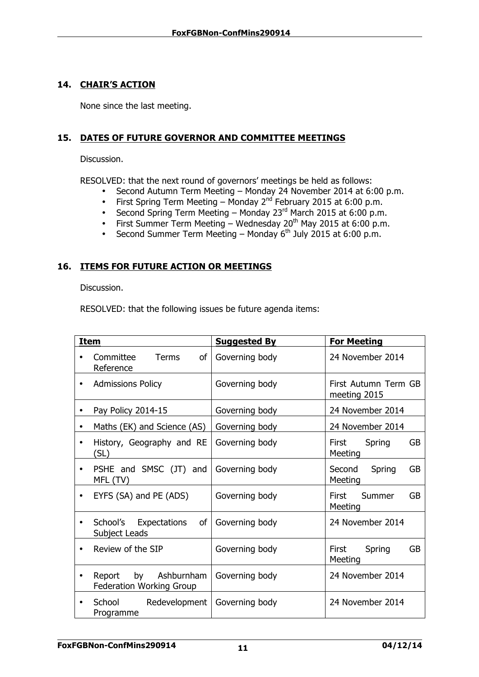#### **14. CHAIR'S ACTION**

None since the last meeting.

#### **15. DATES OF FUTURE GOVERNOR AND COMMITTEE MEETINGS**

Discussion.

RESOLVED: that the next round of governors' meetings be held as follows:

- Second Autumn Term Meeting Monday 24 November 2014 at 6:00 p.m.
- First Spring Term Meeting Monday  $2^{nd}$  February 2015 at 6:00 p.m.
- Second Spring Term Meeting Monday 23<sup>rd</sup> March 2015 at 6:00 p.m.
- First Summer Term Meeting Wednesday 20<sup>th</sup> May 2015 at 6:00 p.m.
- Second Summer Term Meeting Monday  $6<sup>th</sup>$  July 2015 at 6:00 p.m.

#### **16. ITEMS FOR FUTURE ACTION OR MEETINGS**

Discussion.

RESOLVED: that the following issues be future agenda items:

| <b>Item</b>                                                   | <b>Suggested By</b> | <b>For Meeting</b>                      |
|---------------------------------------------------------------|---------------------|-----------------------------------------|
| Committee<br>of<br><b>Terms</b><br>Reference                  | Governing body      | 24 November 2014                        |
| <b>Admissions Policy</b><br>$\bullet$                         | Governing body      | First Autumn Term GB<br>meeting 2015    |
| Pay Policy 2014-15                                            | Governing body      | 24 November 2014                        |
| Maths (EK) and Science (AS)                                   | Governing body      | 24 November 2014                        |
| History, Geography and RE<br>$\bullet$<br>(SL)                | Governing body      | <b>GB</b><br>First Spring<br>Meeting    |
| PSHE and SMSC (JT) and<br>MFL (TV)                            | Governing body      | <b>GB</b><br>Second Spring<br>Meeting   |
| EYFS (SA) and PE (ADS)                                        | Governing body      | <b>GB</b><br>First<br>Summer<br>Meeting |
| School's Expectations<br>of<br>$\bullet$<br>Subject Leads     | Governing body      | 24 November 2014                        |
| Review of the SIP<br>$\bullet$                                | Governing body      | <b>GB</b><br>First<br>Spring<br>Meeting |
| Report by Ashburnham<br>$\bullet$<br>Federation Working Group | Governing body      | 24 November 2014                        |
| School Redevelopment<br>٠<br>Programme                        | Governing body      | 24 November 2014                        |